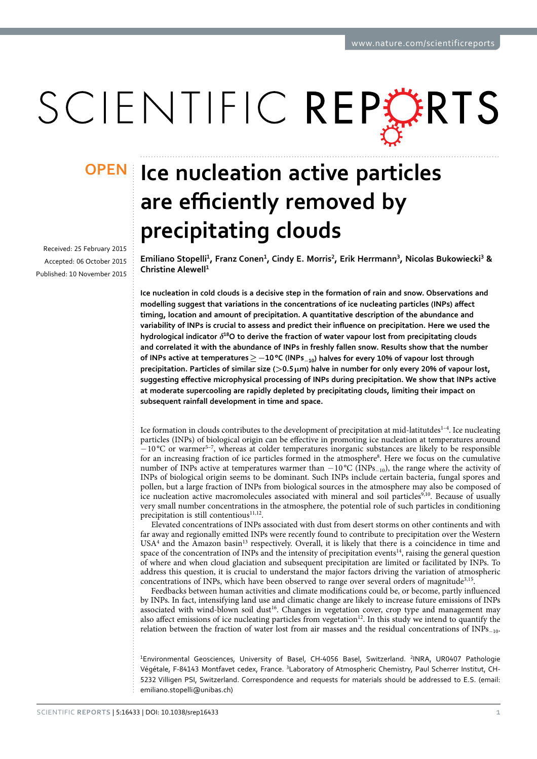# SCIENTIFIC REPERTS

Received: 25 February 2015 Accepted: 06 October 2015 Published: 10 November 2015

## **Ice nucleation active particles OPEN**are efficiently removed by **precipitating clouds**

**Emiliano Stopelli<sup>1</sup>, Franz Conen1, Cindy E. Morris<sup>2</sup>, Erik Herrmann3, Nicolas Bukowiecki<sup>3</sup> & Christine Alewell<sup>1</sup>**

**Ice nucleation in cold clouds is a decisive step in the formation of rain and snow. Observations and modelling suggest that variations in the concentrations of ice nucleating particles (INPs) afect timing, location and amount of precipitation. A quantitative description of the abundance and variability of INPs is crucial to assess and predict their infuence on precipitation. Here we used the hydrological indicator** *δ***18O to derive the fraction of water vapour lost from precipitating clouds and correlated it with the abundance of INPs in freshly fallen snow. Results show that the number of INPs active at temperatures≥−10°C (INPs−10) halves for every 10% of vapour lost through precipitation. Particles of similar size (>0.5µm) halve in number for only every 20% of vapour lost, suggesting efective microphysical processing of INPs during precipitation. We show that INPs active at moderate supercooling are rapidly depleted by precipitating clouds, limiting their impact on subsequent rainfall development in time and space.**

Ice formation in clouds contributes to the development of precipitation at mid-latitutdes $1-4$ . Ice nucleating particles (INPs) of biological origin can be efective in promoting ice nucleation at temperatures around  $-10^{\circ}$ C or warmer<sup>5–7</sup>, whereas at colder temperatures inorganic substances are likely to be responsible for an increasing fraction of ice particles formed in the atmosphere<sup>8</sup>. Here we focus on the cumulative number of INPs active at temperatures warmer than  $-10^{\circ}C (NPS_{-10})$ , the range where the activity of INPs of biological origin seems to be dominant. Such INPs include certain bacteria, fungal spores and pollen, but a large fraction of INPs from biological sources in the atmosphere may also be composed of ice nucleation active macromolecules associated with mineral and soil particles<sup>9,10</sup>. Because of usually very small number concentrations in the atmosphere, the potential role of such particles in conditioning precipitation is still contentious $11,12$ .

Elevated concentrations of INPs associated with dust from desert storms on other continents and with far away and regionally emitted INPs were recently found to contribute to precipitation over the Western USA<sup>4</sup> and the Amazon basin<sup>13</sup> respectively. Overall, it is likely that there is a coincidence in time and space of the concentration of INPs and the intensity of precipitation events<sup>14</sup>, raising the general question of where and when cloud glaciation and subsequent precipitation are limited or facilitated by INPs. To address this question, it is crucial to understand the major factors driving the variation of atmospheric concentrations of INPs, which have been observed to range over several orders of magnitude $3,15$ .

Feedbacks between human activities and climate modifcations could be, or become, partly infuenced by INPs. In fact, intensifying land use and climatic change are likely to increase future emissions of INPs associated with wind-blown soil dust<sup>16</sup>. Changes in vegetation cover, crop type and management may also affect emissions of ice nucleating particles from vegetation<sup>12</sup>. In this study we intend to quantify the relation between the fraction of water lost from air masses and the residual concentrations of INPs−10.

<sup>1</sup>Environmental Geosciences, University of Basel, CH-4056 Basel, Switzerland. <sup>2</sup>INRA, UR0407 Pathologie Végétale, F-84143 Montfavet cedex, France. <sup>3</sup>Laboratory of Atmospheric Chemistry, Paul Scherrer Institut, CH-5232 Villigen PSI, Switzerland. Correspondence and requests for materials should be addressed to E.S. (email: emiliano.stopelli@unibas.ch)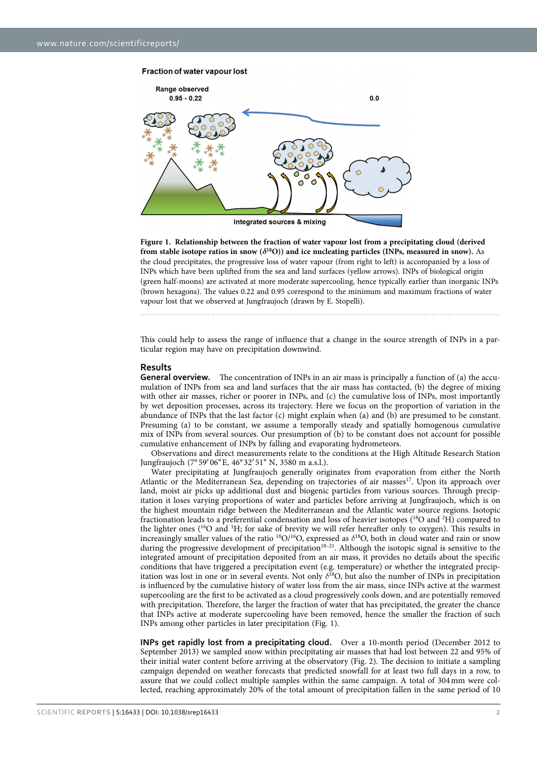#### Fraction of water vapour lost



**Figure 1. Relationship between the fraction of water vapour lost from a precipitating cloud (derived from stable isotope ratios in snow**  $(\delta^{18}O)$ **) and ice nucleating particles (INPs, measured in snow).** As the cloud precipitates, the progressive loss of water vapour (from right to lef) is accompanied by a loss of INPs which have been uplifed from the sea and land surfaces (yellow arrows). INPs of biological origin (green half-moons) are activated at more moderate supercooling, hence typically earlier than inorganic INPs (brown hexagons). The values 0.22 and 0.95 correspond to the minimum and maximum fractions of water vapour lost that we observed at Jungfraujoch (drawn by E. Stopelli).

This could help to assess the range of influence that a change in the source strength of INPs in a particular region may have on precipitation downwind.

#### **Results**

**General overview.** The concentration of INPs in an air mass is principally a function of (a) the accumulation of INPs from sea and land surfaces that the air mass has contacted, (b) the degree of mixing with other air masses, richer or poorer in INPs, and (c) the cumulative loss of INPs, most importantly by wet deposition processes, across its trajectory. Here we focus on the proportion of variation in the abundance of INPs that the last factor (c) might explain when (a) and (b) are presumed to be constant. Presuming (a) to be constant, we assume a temporally steady and spatially homogenous cumulative mix of INPs from several sources. Our presumption of (b) to be constant does not account for possible cumulative enhancement of INPs by falling and evaporating hydrometeors.

Observations and direct measurements relate to the conditions at the High Altitude Research Station Jungfraujoch (7° 59′ 06"E, 46° 32′ 51" N, 3580 m a.s.l.).

Water precipitating at Jungfraujoch generally originates from evaporation from either the North Atlantic or the Mediterranean Sea, depending on trajectories of air masses<sup>17</sup>. Upon its approach over land, moist air picks up additional dust and biogenic particles from various sources. Through precipitation it loses varying proportions of water and particles before arriving at Jungfraujoch, which is on the highest mountain ridge between the Mediterranean and the Atlantic water source regions. Isotopic fractionation leads to a preferential condensation and loss of heavier isotopes (<sup>18</sup>O and <sup>2</sup>H) compared to the lighter ones (<sup>16</sup>O and <sup>1</sup>H; for sake of brevity we will refer hereafter only to oxygen). This results in increasingly smaller values of the ratio 18O/16O, expressed as *δ*18O, both in cloud water and rain or snow during the progressive development of precipitation<sup>18-21</sup>. Although the isotopic signal is sensitive to the integrated amount of precipitation deposited from an air mass, it provides no details about the specifc conditions that have triggered a precipitation event (e.g. temperature) or whether the integrated precipitation was lost in one or in several events. Not only *δ*18O, but also the number of INPs in precipitation is infuenced by the cumulative history of water loss from the air mass, since INPs active at the warmest supercooling are the frst to be activated as a cloud progressively cools down, and are potentially removed with precipitation. Therefore, the larger the fraction of water that has precipitated, the greater the chance that INPs active at moderate supercooling have been removed, hence the smaller the fraction of such INPs among other particles in later precipitation (Fig. 1).

**INPs get rapidly lost from a precipitating cloud.** Over a 10-month period (December 2012 to September 2013) we sampled snow within precipitating air masses that had lost between 22 and 95% of their initial water content before arriving at the observatory (Fig. 2). The decision to initiate a sampling campaign depended on weather forecasts that predicted snowfall for at least two full days in a row, to assure that we could collect multiple samples within the same campaign. A total of 304mm were collected, reaching approximately 20% of the total amount of precipitation fallen in the same period of 10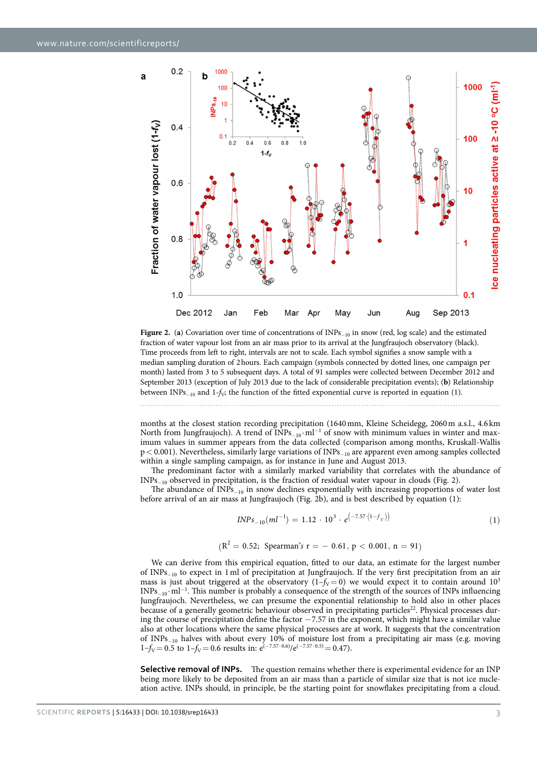

**Figure 2.** (**a**) Covariation over time of concentrations of INPs−10 in snow (red, log scale) and the estimated fraction of water vapour lost from an air mass prior to its arrival at the Jungfraujoch observatory (black). Time proceeds from left to right, intervals are not to scale. Each symbol signifies a snow sample with a median sampling duration of 2hours. Each campaign (symbols connected by dotted lines, one campaign per month) lasted from 3 to 5 subsequent days. A total of 91 samples were collected between December 2012 and September 2013 (exception of July 2013 due to the lack of considerable precipitation events); (**b**) Relationship between INPs<sub>-10</sub> and 1-f<sub>V</sub>; the function of the fitted exponential curve is reported in equation (1).

months at the closest station recording precipitation (1640mm, Kleine Scheidegg, 2060m a.s.l., 4.6km North from Jungfraujoch). A trend of INPs<sub>−10</sub>·ml<sup>−1</sup> of snow with minimum values in winter and maximum values in summer appears from the data collected (comparison among months, Kruskall-Wallis p< 0.001). Nevertheless, similarly large variations of INPs−10 are apparent even among samples collected within a single sampling campaign, as for instance in June and August 2013.

The predominant factor with a similarly marked variability that correlates with the abundance of INPs−10 observed in precipitation, is the fraction of residual water vapour in clouds (Fig. 2).

The abundance of INPs<sub>-10</sub> in snow declines exponentially with increasing proportions of water lost before arrival of an air mass at Jungfraujoch (Fig. 2b), and is best described by equation (1):

$$
INPs_{-10}(ml^{-1}) = 1.12 \cdot 10^3 \cdot e^{(-7.57 \cdot (1 - f_V))}
$$
\n(1)

$$
(R2 = 0.52; Spearman's r = -0.61, p < 0.001, n = 91)
$$

We can derive from this empirical equation, ftted to our data, an estimate for the largest number of INPs−10 to expect in 1ml of precipitation at Jungfraujoch. If the very frst precipitation from an air mass is just about triggered at the observatory  $(1-f<sub>V</sub>= 0)$  we would expect it to contain around  $10<sup>3</sup>$ INPs<sub>-10</sub> · ml<sup>-1</sup>. This number is probably a consequence of the strength of the sources of INPs influencing Jungfraujoch. Nevertheless, we can presume the exponential relationship to hold also in other places because of a generally geometric behaviour observed in precipitating particles<sup>22</sup>. Physical processes during the course of precipitation defne the factor −7.57 in the exponent, which might have a similar value also at other locations where the same physical processes are at work. It suggests that the concentration of INPs−10 halves with about every 10% of moisture lost from a precipitating air mass (e.g. moving  $1-f_V= 0.5$  to  $1-f_V= 0.6$  results in:  $e^{(-7.57 \cdot 0.6)}/e^{(-7.57 \cdot 0.5)}=0.47$ .

**Selective removal of INPs.** The question remains whether there is experimental evidence for an INP being more likely to be deposited from an air mass than a particle of similar size that is not ice nucleation active. INPs should, in principle, be the starting point for snowfakes precipitating from a cloud.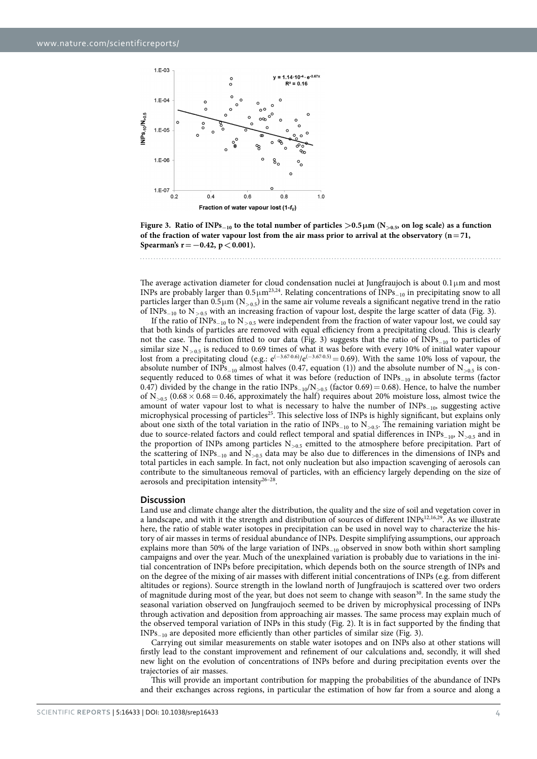

**Figure 3.** Ratio of INPs<sub> $-10$ </sub> to the total number of particles  $> 0.5 \mu m$  (N<sub> $> 0.5$ </sub>, on log scale) as a function of the fraction of water vapour lost from the air mass prior to arrival at the observatory  $(n=71,$ **Spearman's r=−0.42, p<0.001).** 

The average activation diameter for cloud condensation nuclei at Jungfraujoch is about  $0.1 \,\mu m$  and most INPs are probably larger than 0.5µm23,24. Relating concentrations of INPs−10 in precipitating snow to all particles larger than  $0.5\,\mu$ m (N<sub>>0.5</sub>) in the same air volume reveals a significant negative trend in the ratio of INPs<sub>-10</sub> to N<sub>>0.5</sub> with an increasing fraction of vapour lost, despite the large scatter of data (Fig. 3).

If the ratio of INPs<sub>−10</sub> to N<sub>>0.5</sub> were independent from the fraction of water vapour lost, we could say that both kinds of particles are removed with equal efficiency from a precipitating cloud. This is clearly not the case. The function fitted to our data (Fig. 3) suggests that the ratio of INPs<sub>-10</sub> to particles of similar size N $_{>0.5}$  is reduced to 0.69 times of what it was before with every 10% of initial water vapour lost from a precipitating cloud (e.g.:  $e^{(-3.67\cdot0.6)}/e^{(-3.67\cdot0.5)}$  = 0.69). With the same 10% loss of vapour, the absolute number of  $INPs_{-10}$  almost halves (0.47, equation (1)) and the absolute number of N<sub>>0.5</sub> is consequently reduced to 0.68 times of what it was before (reduction of INPs<sub>−10</sub> in absolute terms (factor 0.47) divided by the change in the ratio  $INPs_{-10}/N_{>0.5}$  (factor 0.69) = 0.68). Hence, to halve the number of  $N_{>0.5}$  (0.68  $\times$  0.68 = 0.46, approximately the half) requires about 20% moisture loss, almost twice the amount of water vapour lost to what is necessary to halve the number of INPs−10, suggesting active microphysical processing of particles<sup>25</sup>. This selective loss of INPs is highly significant, but explains only about one sixth of the total variation in the ratio of  $INPs_{-10}$  to  $N_{>0.5}$ . The remaining variation might be due to source-related factors and could reflect temporal and spatial differences in  $INPs_{-10}$ , N<sub>>0.5</sub> and in the proportion of INPs among particles  $N_{>0.5}$  emitted to the atmosphere before precipitation. Part of the scattering of INPs−10 and N>0.5 data may be also due to diferences in the dimensions of INPs and total particles in each sample. In fact, not only nucleation but also impaction scavenging of aerosols can contribute to the simultaneous removal of particles, with an efficiency largely depending on the size of aerosols and precipitation intensity26–28.

### **Discussion**

Land use and climate change alter the distribution, the quality and the size of soil and vegetation cover in a landscape, and with it the strength and distribution of sources of different INPs<sup>12,16,29</sup>. As we illustrate here, the ratio of stable water isotopes in precipitation can be used in novel way to characterize the history of air masses in terms of residual abundance of INPs. Despite simplifying assumptions, our approach explains more than 50% of the large variation of INPs−10 observed in snow both within short sampling campaigns and over the year. Much of the unexplained variation is probably due to variations in the initial concentration of INPs before precipitation, which depends both on the source strength of INPs and on the degree of the mixing of air masses with diferent initial concentrations of INPs (e.g. from diferent altitudes or regions). Source strength in the lowland north of Jungfraujoch is scattered over two orders of magnitude during most of the year, but does not seem to change with season<sup>30</sup>. In the same study the seasonal variation observed on Jungfraujoch seemed to be driven by microphysical processing of INPs through activation and deposition from approaching air masses. The same process may explain much of the observed temporal variation of INPs in this study (Fig. 2). It is in fact supported by the fnding that  $INPs_{-10}$  are deposited more efficiently than other particles of similar size (Fig. 3).

Carrying out similar measurements on stable water isotopes and on INPs also at other stations will frstly lead to the constant improvement and refnement of our calculations and, secondly, it will shed new light on the evolution of concentrations of INPs before and during precipitation events over the trajectories of air masses.

Tis will provide an important contribution for mapping the probabilities of the abundance of INPs and their exchanges across regions, in particular the estimation of how far from a source and along a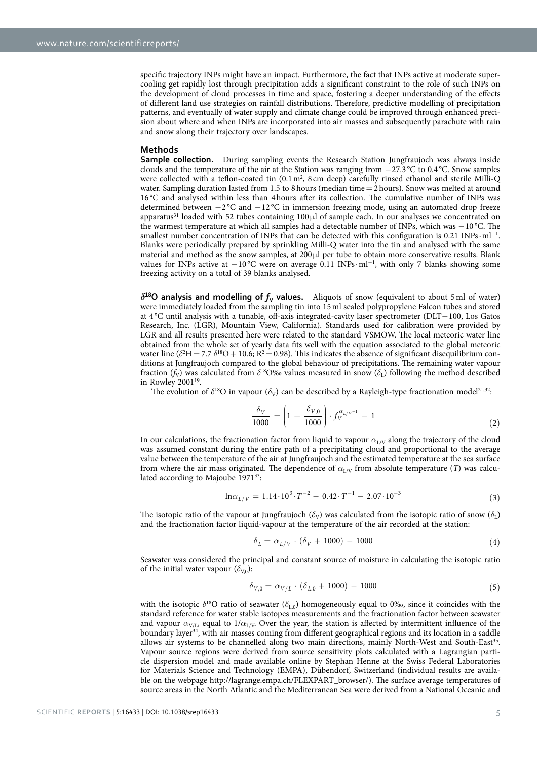specifc trajectory INPs might have an impact. Furthermore, the fact that INPs active at moderate supercooling get rapidly lost through precipitation adds a signifcant constraint to the role of such INPs on the development of cloud processes in time and space, fostering a deeper understanding of the efects of diferent land use strategies on rainfall distributions. Terefore, predictive modelling of precipitation patterns, and eventually of water supply and climate change could be improved through enhanced precision about where and when INPs are incorporated into air masses and subsequently parachute with rain and snow along their trajectory over landscapes.

#### **Methods**

**Sample collection.** During sampling events the Research Station Jungfraujoch was always inside clouds and the temperature of the air at the Station was ranging from −27.3 °C to 0.4 °C. Snow samples were collected with a teflon-coated tin (0.1 m<sup>2</sup>, 8 cm deep) carefully rinsed ethanol and sterile Milli-Q water. Sampling duration lasted from 1.5 to 8hours (median time= 2hours). Snow was melted at around 16 °C and analysed within less than 4 hours after its collection. The cumulative number of INPs was determined between −2 °C and −12 °C in immersion freezing mode, using an automated drop freeze apparatus<sup>31</sup> loaded with 52 tubes containing  $100 \mu l$  of sample each. In our analyses we concentrated on the warmest temperature at which all samples had a detectable number of INPs, which was −10 °C. The smallest number concentration of INPs that can be detected with this configuration is 0.21 INPs·ml<sup>-1</sup>. Blanks were periodically prepared by sprinkling Milli-Q water into the tin and analysed with the same material and method as the snow samples, at  $200 \mu$  per tube to obtain more conservative results. Blank values for INPs active at -10°C were on average 0.11 INPs·ml<sup>-1</sup>, with only 7 blanks showing some freezing activity on a total of 39 blanks analysed.

*δ***18O analysis and modelling of** *f***V values.** Aliquots of snow (equivalent to about 5ml of water) were immediately loaded from the sampling tin into 15ml sealed polypropylene Falcon tubes and stored at 4 °C until analysis with a tunable, of-axis integrated-cavity laser spectrometer (DLT−100, Los Gatos Research, Inc. (LGR), Mountain View, California). Standards used for calibration were provided by LGR and all results presented here were related to the standard VSMOW. The local meteoric water line obtained from the whole set of yearly data fts well with the equation associated to the global meteoric water line ( $\delta^2$ H = 7.7  $\delta^{18}$ O + 10.6; R<sup>2</sup> = 0.98). This indicates the absence of significant disequilibrium conditions at Jungfraujoch compared to the global behaviour of precipitations. The remaining water vapour fraction ( $f_V$ ) was calculated from  $\delta^{18}O\%$  values measured in snow ( $\delta_L$ ) following the method described in Rowley 200119.

The evolution of  $\delta^{18}O$  in vapour ( $\delta_{V}$ ) can be described by a Rayleigh-type fractionation model<sup>21,32</sup>:

$$
\frac{\delta_V}{1000} = \left(1 + \frac{\delta_{V,0}}{1000}\right) \cdot f_V^{\alpha_{L/V^{-1}}} - 1 \tag{2}
$$

In our calculations, the fractionation factor from liquid to vapour  $\alpha_{\rm LV}$  along the trajectory of the cloud was assumed constant during the entire path of a precipitating cloud and proportional to the average value between the temperature of the air at Jungfraujoch and the estimated temperature at the sea surface from where the air mass originated. The dependence of  $\alpha_{\text{LV}}$  from absolute temperature (T) was calculated according to Majoube 1971<sup>33</sup>:

$$
\ln \alpha_{L/V} = 1.14 \cdot 10^3 \cdot T^{-2} - 0.42 \cdot T^{-1} - 2.07 \cdot 10^{-3}
$$
\n(3)

The isotopic ratio of the vapour at Jungfraujoch ( $\delta_{\rm V}$ ) was calculated from the isotopic ratio of snow ( $\delta_{\rm L}$ ) and the fractionation factor liquid-vapour at the temperature of the air recorded at the station:

$$
\delta_L = \alpha_{L/V} \cdot (\delta_V + 1000) - 1000 \tag{4}
$$

Seawater was considered the principal and constant source of moisture in calculating the isotopic ratio of the initial water vapour  $(\delta_{V0})$ :

$$
\delta_{V,0} = \alpha_{V/L} \cdot (\delta_{L,0} + 1000) - 1000 \tag{5}
$$

with the isotopic *δ*<sup>18</sup>O ratio of seawater (*δ*<sub>L,0</sub>) homogeneously equal to 0‰, since it coincides with the standard reference for water stable isotopes measurements and the fractionation factor between seawater and vapour  $\alpha_{V/L}$ , equal to  $1/\alpha_{L/V}$ . Over the year, the station is affected by intermittent influence of the boundary layer<sup>34</sup>, with air masses coming from different geographical regions and its location in a saddle allows air systems to be channelled along two main directions, mainly North-West and South-East $35$ . Vapour source regions were derived from source sensitivity plots calculated with a Lagrangian particle dispersion model and made available online by Stephan Henne at the Swiss Federal Laboratories for Materials Science and Technology (EMPA), Dübendorf, Switzerland (individual results are available on the webpage http://lagrange.empa.ch/FLEXPART\_browser/). The surface average temperatures of source areas in the North Atlantic and the Mediterranean Sea were derived from a National Oceanic and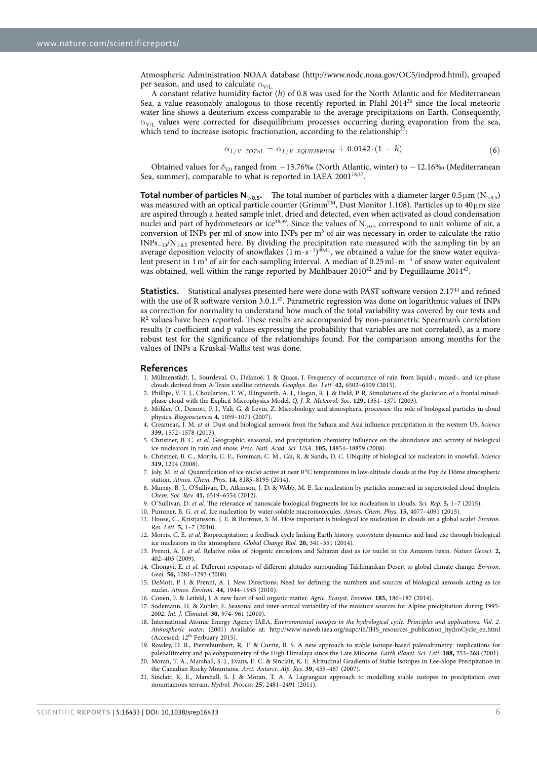Atmospheric Administration NOAA database (http://www.nodc.noaa.gov/OC5/indprod.html), grouped per season, and used to calculate  $α<sub>V/L</sub>$ .

A constant relative humidity factor  $(h)$  of 0.8 was used for the North Atlantic and for Mediterranean Sea, a value reasonably analogous to those recently reported in Pfahl 2014<sup>36</sup> since the local meteoric water line shows a deuterium excess comparable to the average precipitations on Earth. Consequently, *α*<sub>V/L</sub> values were corrected for disequilibrium processes occurring during evaporation from the sea, which tend to increase isotopic fractionation, according to the relationship<sup>3</sup>

$$
\alpha_{L/V \text{ TOTAL}} = \alpha_{L/V \text{ EQUILIBRIUM}} + 0.0142 \cdot (1 - h) \tag{6}
$$

Obtained values for  $\delta$ <sub>V,0</sub> ranged from −13.76‰ (North Atlantic, winter) to −12.16‰ (Mediterranean Sea, summer), comparable to what is reported in IAEA 2001<sup>18,37</sup>.

**Total number of particles N<sub>>0.5</sub>.** The total number of particles with a diameter larger  $0.5 \mu m$  (N<sub>>0.5</sub>) was measured with an optical particle counter (Grimm<sup>TM</sup>, Dust Monitor 1.108). Particles up to 40<sub>µ</sub>m size are aspired through a heated sample inlet, dried and detected, even when activated as cloud condensation nuclei and part of hydrometeors or ice<sup>38,39</sup>. Since the values of  $N_{>0.5}$  correspond to unit volume of air, a conversion of INPs per ml of snow into INPs per m<sup>3</sup> of air was necessary in order to calculate the ratio  $INPs_{-10}/N_{>0.5}$  presented here. By dividing the precipitation rate measured with the sampling tin by an average deposition velocity of snowflakes (1 m·s<sup>-1</sup>)<sup>40,41</sup>, we obtained a value for the snow water equivalent present in 1 m<sup>3</sup> of air for each sampling interval. A median of 0.25 ml·m<sup>-3</sup> of snow water equivalent was obtained, well within the range reported by Muhlbauer 2010<sup>42</sup> and by Deguillaume 2014<sup>43</sup>.

**Statistics.** Statistical analyses presented here were done with PAST software version 2.17<sup>44</sup> and refined with the use of R software version 3.0.1.<sup>45</sup>. Parametric regression was done on logarithmic values of INPs as correction for normality to understand how much of the total variability was covered by our tests and  $R<sup>2</sup>$  values have been reported. These results are accompanied by non-parametric Spearman's correlation results (r coefficient and p values expressing the probability that variables are not correlated), as a more robust test for the signifcance of the relationships found. For the comparison among months for the values of INPs a Kruskal-Wallis test was done.

#### **References**

- 1. Mülmenstädt, J., Sourdeval, O., Delanoë, J. & Quaas, J. Frequency of occurrence of rain from liquid-, mixed-, and ice-phase clouds derived from A-Train satellite retrievals. Geophys. Res. Lett. **42,** 6502–6509 (2015).
- 2. Phillips, V. T. J., Choularton, T. W., Illingworth, A. J., Hogan, R. J. & Field, P. R. Simulations of the glaciation of a frontal mixedphase cloud with the Explicit Microphysics Model. Q. J. R. Meteorol. Soc. **129,** 1351–1371 (2003).
- 3. Möhler, O., Demott, P. J., Vali, G. & Levin, Z. Microbiology and atmospheric processes: the role of biological particles in cloud physics. Biogeosciences **4,** 1059–1071 (2007).
- 4. Creamean, J. M. et al. Dust and biological aerosols from the Sahara and Asia influence precipitation in the western US. Science **339,** 1572–1578 (2013).
- 5. Christner, B. C. et al. Geographic, seasonal, and precipitation chemistry infuence on the abundance and activity of biological ice nucleators in rain and snow. Proc. Natl. Acad. Sci. USA. **105,** 18854–18859 (2008). 6. Christner, B. C., Morris, C. E., Foreman, C. M., Cai, R. & Sands, D. C. Ubiquity of biological ice nucleators in snowfall. Science
- **319,** 1214 (2008). 7. Joly, M. et al. Quantification of ice nuclei active at near 0°C temperatures in low-altitude clouds at the Puy de Dôme atmospheric
- station. Atmos. Chem. Phys. **14,** 8185–8195 (2014). 8. Murray, B. J., O'Sullivan, D., Atkinson, J. D. & Webb, M. E. Ice nucleation by particles immersed in supercooled cloud droplets.
- Chem. Soc. Rev. **41,** 6519–6554 (2012).
- 9. O′Sullivan, D. et al. Te relevance of nanoscale biological fragments for ice nucleation in clouds. Sci. Rep. **5,** 1–7 (2015).
- 10. Pummer, B. G. et al. Ice nucleation by water-soluble macromolecules. Atmos. Chem. Phys. **15,** 4077–4091 (2015).
- 11. Hoose, C., Kristjansson, J. E. & Burrows, S. M. How important is biological ice nucleation in clouds on a global scale? Environ. Res. Lett. **5,** 1–7 (2010).
- 12. Morris, C. E. et al. Bioprecipitation: a feedback cycle linking Earth history, ecosystem dynamics and land use through biological ice nucleators in the atmosphere. Global Change Biol. **20,** 341–351 (2014).
- 13. Prenni, A. J. et al. Relative roles of biogenic emissions and Saharan dust as ice nuclei in the Amazon basin. Nature Geosci. **2,** 402–405 (2009).
- 14. Chongyi, E. et al. Different responses of different altitudes surrounding Taklimankan Desert to global climate change. Environ. Geol. **56,** 1281–1293 (2008).
- 15. DeMott, P. J. & Prenni, A. J. New Directions: Need for defning the numbers and sources of biological aerosols acting as ice nuclei. Atmos. Environ. **44,** 1944–1945 (2010).
- 16. Conen, F. & Leifeld, J. A new facet of soil organic matter. Agric. Ecosyst. Environ. **185,** 186–187 (2014).
- 17. Sodemann, H. & Zubler, E. Seasonal and inter-annual variability of the moisture sources for Alpine precipitation during 1995- 2002. Int. J. Climatol. **30,** 974–961 (2010).
- 18. International Atomic Energy Agency IAEA, Environmental isotopes in the hydrological cycle. Principles and applications. Vol. 2. Atmospheric water. (2001) Available at: http://www-naweb.iaea.org/napc/ih/IHS\_resources\_publication\_hydroCycle\_en.html (Accessed: 12<sup>th</sup> Ferbuary 2015).
- 19. Rowley, D. B., Pierrehumbert, R. T. & Currie, B. S. A new approach to stable isotope-based paleoaltimetry: implications for paleoaltimetry and paleohypsometry of the High Himalaya since the Late Miocene. Earth Planet. Sci. Lett. **188,** 253–268 (2001).
- 20. Moran, T. A., Marshall, S. J., Evans, E. C. & Sinclair, K. E. Altitudinal Gradients of Stable Isotopes in Lee-Slope Precipitation in the Canadian Rocky Mountains. Arct. Antarct. Alp. Res. **39,** 455–467 (2007).
- 21. Sinclair, K. E., Marshall, S. J. & Moran, T. A. A Lagrangian approach to modelling stable isotopes in precipitation over mountainous terrain. Hydrol. Process. **25,** 2481–2491 (2011).